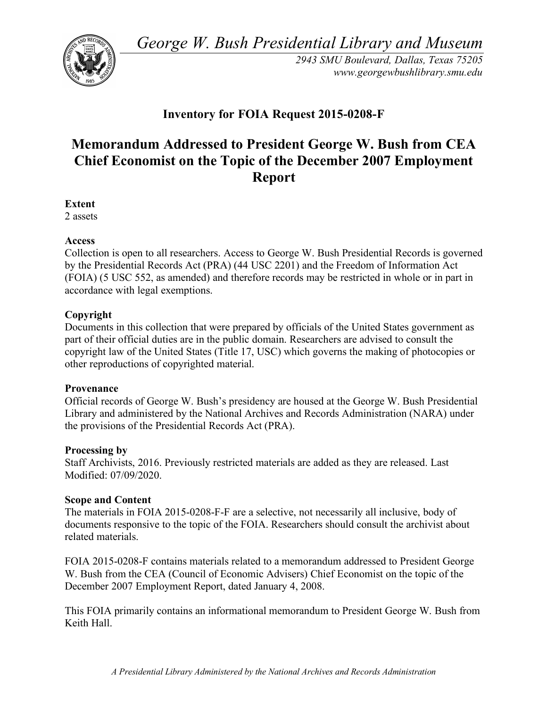*George W. Bush Presidential Library and Museum* 



*2943 SMU Boulevard, Dallas, Texas 75205 <www.georgewbushlibrary.smu.edu>* 

# **Inventory for FOIA Request 2015-0208-F**

# **Memorandum Addressed to President George W. Bush from CEA Chief Economist on the Topic of the December 2007 Employment Report**

**Extent** 

2 assets

# **Access**

 Collection is open to all researchers. Access to George W. Bush Presidential Records is governed by the Presidential Records Act (PRA) (44 USC 2201) and the Freedom of Information Act (FOIA) (5 USC 552, as amended) and therefore records may be restricted in whole or in part in accordance with legal exemptions.

# **Copyright**

 Documents in this collection that were prepared by officials of the United States government as part of their official duties are in the public domain. Researchers are advised to consult the copyright law of the United States (Title 17, USC) which governs the making of photocopies or other reproductions of copyrighted material.

#### **Provenance**

 Official records of George W. Bush's presidency are housed at the George W. Bush Presidential Library and administered by the National Archives and Records Administration (NARA) under the provisions of the Presidential Records Act (PRA).

#### **Processing by**

 Staff Archivists, 2016. Previously restricted materials are added as they are released. Last Modified: 07/09/2020.

# **Scope and Content**

 The materials in FOIA 2015-0208-F-F are a selective, not necessarily all inclusive, body of documents responsive to the topic of the FOIA. Researchers should consult the archivist about related materials.

 FOIA 2015-0208-F contains materials related to a memorandum addressed to President George W. Bush from the CEA (Council of Economic Advisers) Chief Economist on the topic of the December 2007 Employment Report, dated January 4, 2008.

 This FOIA primarily contains an informational memorandum to President George W. Bush from Keith Hall.